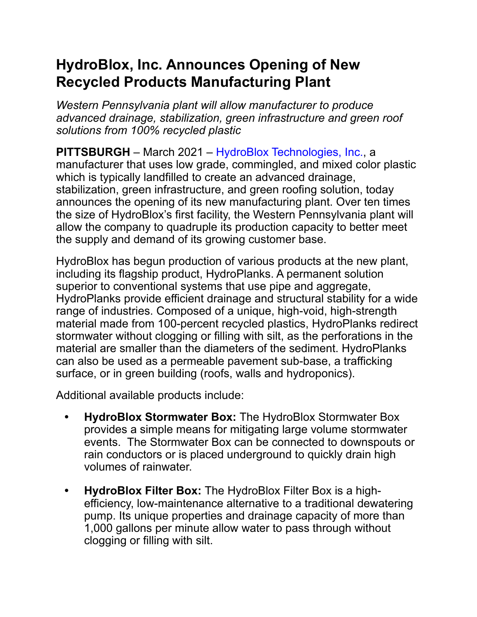## **HydroBlox, Inc. Announces Opening of New Recycled Products Manufacturing Plant**

*Western Pennsylvania plant will allow manufacturer to produce advanced drainage, stabilization, green infrastructure and green roof solutions from 100% recycled plastic* 

**PITTSBURGH** – March 2021 – HydroBlox Technologies, Inc., a manufacturer that uses low grade, commingled, and mixed color plastic which is typically landfilled to create an advanced drainage, stabilization, green infrastructure, and green roofing solution, today announces the opening of its new manufacturing plant. Over ten times the size of HydroBlox's first facility, the Western Pennsylvania plant will allow the company to quadruple its production capacity to better meet the supply and demand of its growing customer base.

HydroBlox has begun production of various products at the new plant, including its flagship product, HydroPlanks. A permanent solution superior to conventional systems that use pipe and aggregate, HydroPlanks provide efficient drainage and structural stability for a wide range of industries. Composed of a unique, high-void, high-strength material made from 100-percent recycled plastics, HydroPlanks redirect stormwater without clogging or filling with silt, as the perforations in the material are smaller than the diameters of the sediment. HydroPlanks can also be used as a permeable pavement sub-base, a trafficking surface, or in green building (roofs, walls and hydroponics).

Additional available products include:

- **• HydroBlox Stormwater Box:** The HydroBlox Stormwater Box provides a simple means for mitigating large volume stormwater events. The Stormwater Box can be connected to downspouts or rain conductors or is placed underground to quickly drain high volumes of rainwater.
- **• HydroBlox Filter Box:** The HydroBlox Filter Box is a highefficiency, low-maintenance alternative to a traditional dewatering pump. Its unique properties and drainage capacity of more than 1,000 gallons per minute allow water to pass through without clogging or filling with silt.